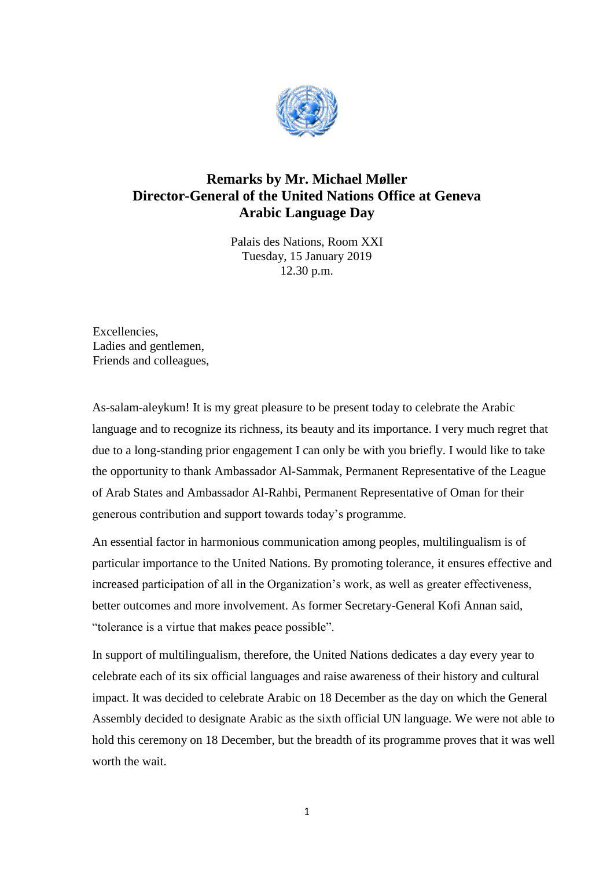

## **Remarks by Mr. Michael Møller Director-General of the United Nations Office at Geneva Arabic Language Day**

Palais des Nations, Room XXI Tuesday, 15 January 2019 12.30 p.m.

Excellencies, Ladies and gentlemen, Friends and colleagues,

As-salam-aleykum! It is my great pleasure to be present today to celebrate the Arabic language and to recognize its richness, its beauty and its importance. I very much regret that due to a long-standing prior engagement I can only be with you briefly. I would like to take the opportunity to thank Ambassador Al-Sammak, Permanent Representative of the League of Arab States and Ambassador Al-Rahbi, Permanent Representative of Oman for their generous contribution and support towards today's programme.

An essential factor in harmonious communication among peoples, multilingualism is of particular importance to the United Nations. By promoting tolerance, it ensures effective and increased participation of all in the Organization's work, as well as greater effectiveness, better outcomes and more involvement. As former Secretary-General Kofi Annan said, "tolerance is a virtue that makes peace possible".

In support of multilingualism, therefore, the United Nations dedicates a day every year to celebrate each of its six official languages and raise awareness of their history and cultural impact. It was decided to celebrate Arabic on 18 December as the day on which the General Assembly decided to designate Arabic as the sixth official UN language. We were not able to hold this ceremony on 18 December, but the breadth of its programme proves that it was well worth the wait.